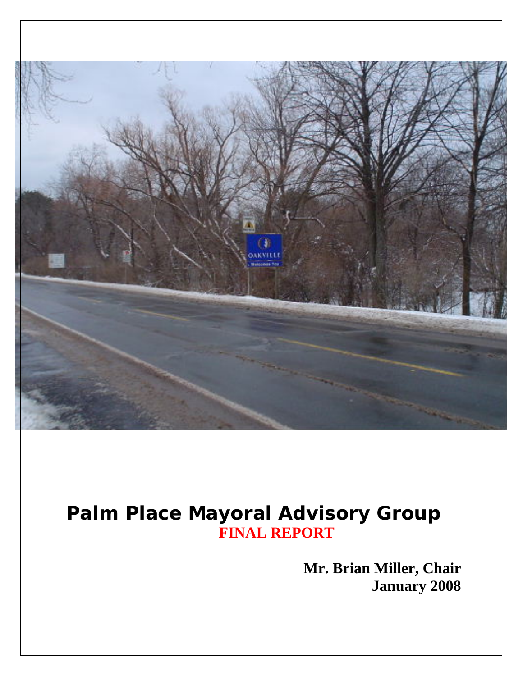

# **Palm Place Mayoral Advisory Group FINAL REPORT**

**Mr. Brian Miller, Chair January 2008**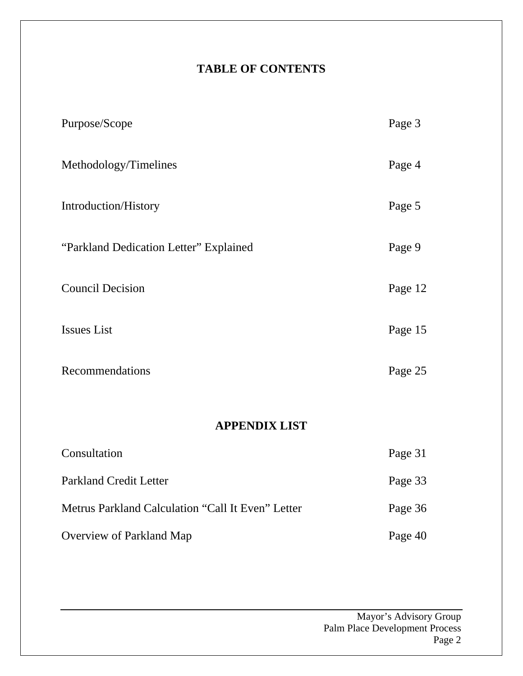#### **TABLE OF CONTENTS**

| Purpose/Scope                                     | Page 3  |
|---------------------------------------------------|---------|
| Methodology/Timelines                             | Page 4  |
| Introduction/History                              | Page 5  |
| "Parkland Dedication Letter" Explained            | Page 9  |
| <b>Council Decision</b>                           | Page 12 |
| <b>Issues List</b>                                | Page 15 |
| Recommendations                                   | Page 25 |
|                                                   |         |
| <b>APPENDIX LIST</b>                              |         |
| Consultation                                      | Page 31 |
| <b>Parkland Credit Letter</b>                     | Page 33 |
| Metrus Parkland Calculation "Call It Even" Letter | Page 36 |
| Overview of Parkland Map                          | Page 40 |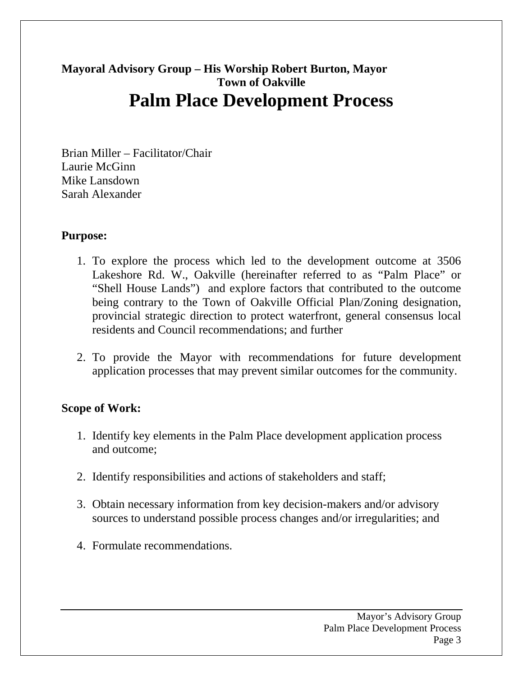### **Mayoral Advisory Group – His Worship Robert Burton, Mayor Town of Oakville Palm Place Development Process**

Brian Miller – Facilitator/Chair Laurie McGinn Mike Lansdown Sarah Alexander

#### **Purpose:**

- 1. To explore the process which led to the development outcome at 3506 Lakeshore Rd. W., Oakville (hereinafter referred to as "Palm Place" or "Shell House Lands") and explore factors that contributed to the outcome being contrary to the Town of Oakville Official Plan/Zoning designation, provincial strategic direction to protect waterfront, general consensus local residents and Council recommendations; and further
- 2. To provide the Mayor with recommendations for future development application processes that may prevent similar outcomes for the community.

#### **Scope of Work:**

- 1. Identify key elements in the Palm Place development application process and outcome;
- 2. Identify responsibilities and actions of stakeholders and staff;
- 3. Obtain necessary information from key decision-makers and/or advisory sources to understand possible process changes and/or irregularities; and
- 4. Formulate recommendations.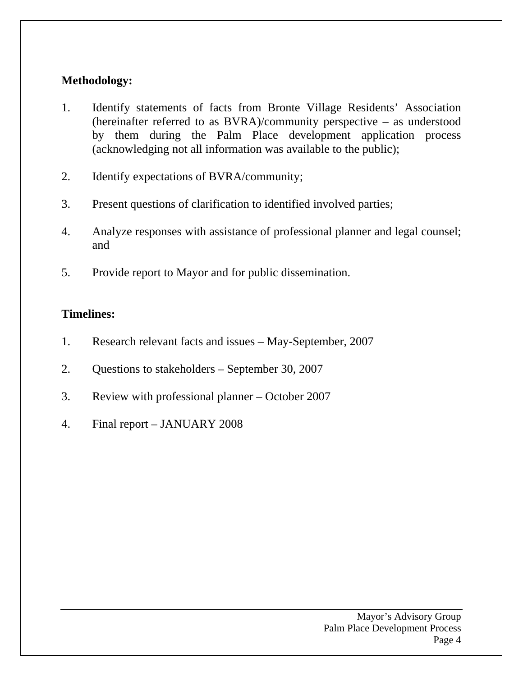#### **Methodology:**

- 1. Identify statements of facts from Bronte Village Residents' Association (hereinafter referred to as BVRA)/community perspective – as understood by them during the Palm Place development application process (acknowledging not all information was available to the public);
- 2. Identify expectations of BVRA/community;
- 3. Present questions of clarification to identified involved parties;
- 4. Analyze responses with assistance of professional planner and legal counsel; and
- 5. Provide report to Mayor and for public dissemination.

#### **Timelines:**

- 1. Research relevant facts and issues May-September, 2007
- 2. Questions to stakeholders September 30, 2007
- 3. Review with professional planner October 2007
- 4. Final report JANUARY 2008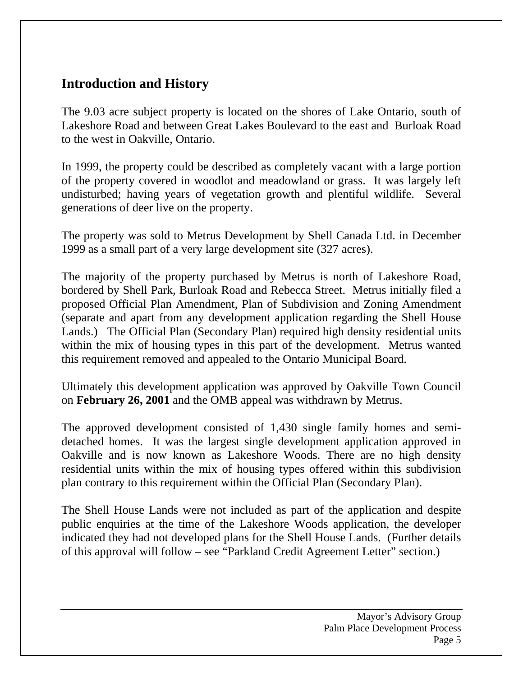### **Introduction and History**

The 9.03 acre subject property is located on the shores of Lake Ontario, south of Lakeshore Road and between Great Lakes Boulevard to the east and Burloak Road to the west in Oakville, Ontario.

In 1999, the property could be described as completely vacant with a large portion of the property covered in woodlot and meadowland or grass. It was largely left undisturbed; having years of vegetation growth and plentiful wildlife. Several generations of deer live on the property.

The property was sold to Metrus Development by Shell Canada Ltd. in December 1999 as a small part of a very large development site (327 acres).

The majority of the property purchased by Metrus is north of Lakeshore Road, bordered by Shell Park, Burloak Road and Rebecca Street. Metrus initially filed a proposed Official Plan Amendment, Plan of Subdivision and Zoning Amendment (separate and apart from any development application regarding the Shell House Lands.) The Official Plan (Secondary Plan) required high density residential units within the mix of housing types in this part of the development. Metrus wanted this requirement removed and appealed to the Ontario Municipal Board.

Ultimately this development application was approved by Oakville Town Council on **February 26, 2001** and the OMB appeal was withdrawn by Metrus.

The approved development consisted of 1,430 single family homes and semidetached homes. It was the largest single development application approved in Oakville and is now known as Lakeshore Woods. There are no high density residential units within the mix of housing types offered within this subdivision plan contrary to this requirement within the Official Plan (Secondary Plan).

The Shell House Lands were not included as part of the application and despite public enquiries at the time of the Lakeshore Woods application, the developer indicated they had not developed plans for the Shell House Lands. (Further details of this approval will follow – see "Parkland Credit Agreement Letter" section.)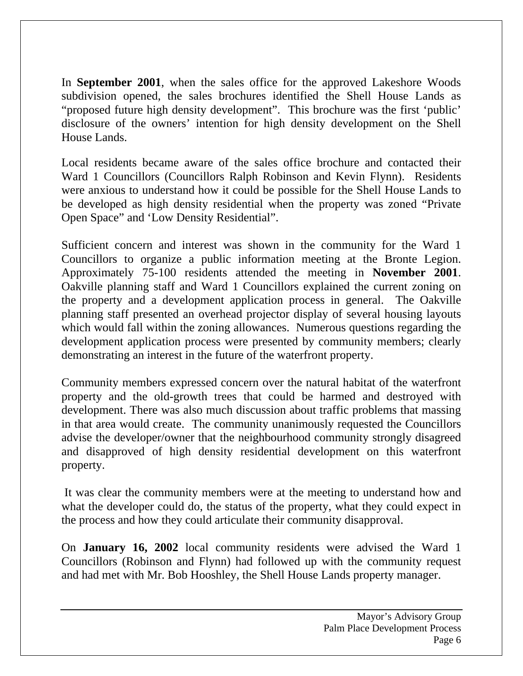In **September 2001**, when the sales office for the approved Lakeshore Woods subdivision opened, the sales brochures identified the Shell House Lands as "proposed future high density development". This brochure was the first 'public' disclosure of the owners' intention for high density development on the Shell House Lands.

Local residents became aware of the sales office brochure and contacted their Ward 1 Councillors (Councillors Ralph Robinson and Kevin Flynn). Residents were anxious to understand how it could be possible for the Shell House Lands to be developed as high density residential when the property was zoned "Private Open Space" and 'Low Density Residential".

Sufficient concern and interest was shown in the community for the Ward 1 Councillors to organize a public information meeting at the Bronte Legion. Approximately 75-100 residents attended the meeting in **November 2001**. Oakville planning staff and Ward 1 Councillors explained the current zoning on the property and a development application process in general. The Oakville planning staff presented an overhead projector display of several housing layouts which would fall within the zoning allowances. Numerous questions regarding the development application process were presented by community members; clearly demonstrating an interest in the future of the waterfront property.

Community members expressed concern over the natural habitat of the waterfront property and the old-growth trees that could be harmed and destroyed with development. There was also much discussion about traffic problems that massing in that area would create. The community unanimously requested the Councillors advise the developer/owner that the neighbourhood community strongly disagreed and disapproved of high density residential development on this waterfront property.

 It was clear the community members were at the meeting to understand how and what the developer could do, the status of the property, what they could expect in the process and how they could articulate their community disapproval.

On **January 16, 2002** local community residents were advised the Ward 1 Councillors (Robinson and Flynn) had followed up with the community request and had met with Mr. Bob Hooshley, the Shell House Lands property manager.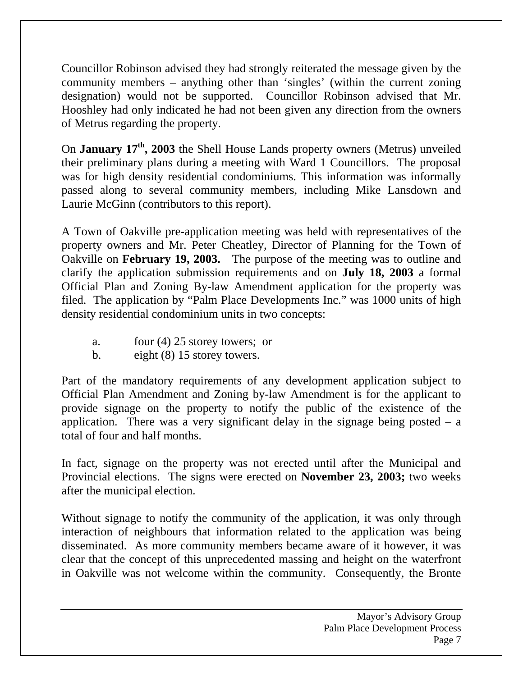Councillor Robinson advised they had strongly reiterated the message given by the community members – anything other than 'singles' (within the current zoning designation) would not be supported. Councillor Robinson advised that Mr. Hooshley had only indicated he had not been given any direction from the owners of Metrus regarding the property.

On **January 17th, 2003** the Shell House Lands property owners (Metrus) unveiled their preliminary plans during a meeting with Ward 1 Councillors. The proposal was for high density residential condominiums. This information was informally passed along to several community members, including Mike Lansdown and Laurie McGinn (contributors to this report).

A Town of Oakville pre-application meeting was held with representatives of the property owners and Mr. Peter Cheatley, Director of Planning for the Town of Oakville on **February 19, 2003.** The purpose of the meeting was to outline and clarify the application submission requirements and on **July 18, 2003** a formal Official Plan and Zoning By-law Amendment application for the property was filed. The application by "Palm Place Developments Inc." was 1000 units of high density residential condominium units in two concepts:

- a. four (4) 25 storey towers; or
- b. eight (8) 15 storey towers.

Part of the mandatory requirements of any development application subject to Official Plan Amendment and Zoning by-law Amendment is for the applicant to provide signage on the property to notify the public of the existence of the application. There was a very significant delay in the signage being posted  $-$  a total of four and half months.

In fact, signage on the property was not erected until after the Municipal and Provincial elections. The signs were erected on **November 23, 2003;** two weeks after the municipal election.

Without signage to notify the community of the application, it was only through interaction of neighbours that information related to the application was being disseminated. As more community members became aware of it however, it was clear that the concept of this unprecedented massing and height on the waterfront in Oakville was not welcome within the community. Consequently, the Bronte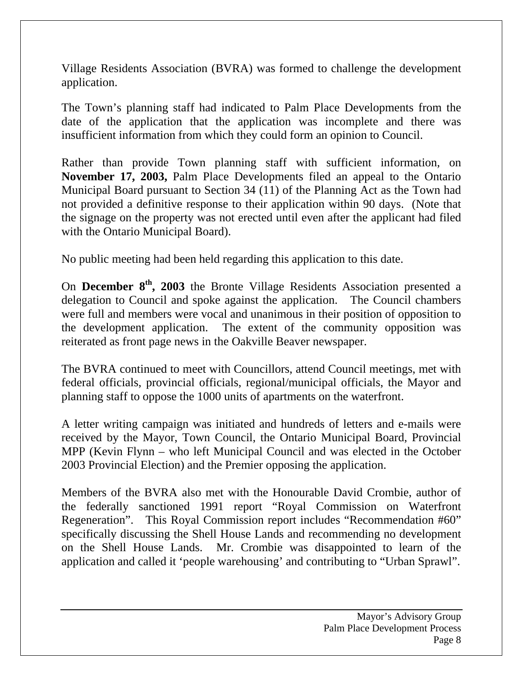Village Residents Association (BVRA) was formed to challenge the development application.

The Town's planning staff had indicated to Palm Place Developments from the date of the application that the application was incomplete and there was insufficient information from which they could form an opinion to Council.

Rather than provide Town planning staff with sufficient information, on **November 17, 2003,** Palm Place Developments filed an appeal to the Ontario Municipal Board pursuant to Section 34 (11) of the Planning Act as the Town had not provided a definitive response to their application within 90 days. (Note that the signage on the property was not erected until even after the applicant had filed with the Ontario Municipal Board).

No public meeting had been held regarding this application to this date.

On **December 8th, 2003** the Bronte Village Residents Association presented a delegation to Council and spoke against the application. The Council chambers were full and members were vocal and unanimous in their position of opposition to the development application. The extent of the community opposition was reiterated as front page news in the Oakville Beaver newspaper.

The BVRA continued to meet with Councillors, attend Council meetings, met with federal officials, provincial officials, regional/municipal officials, the Mayor and planning staff to oppose the 1000 units of apartments on the waterfront.

A letter writing campaign was initiated and hundreds of letters and e-mails were received by the Mayor, Town Council, the Ontario Municipal Board, Provincial MPP (Kevin Flynn – who left Municipal Council and was elected in the October 2003 Provincial Election) and the Premier opposing the application.

Members of the BVRA also met with the Honourable David Crombie, author of the federally sanctioned 1991 report "Royal Commission on Waterfront Regeneration". This Royal Commission report includes "Recommendation #60" specifically discussing the Shell House Lands and recommending no development on the Shell House Lands. Mr. Crombie was disappointed to learn of the application and called it 'people warehousing' and contributing to "Urban Sprawl".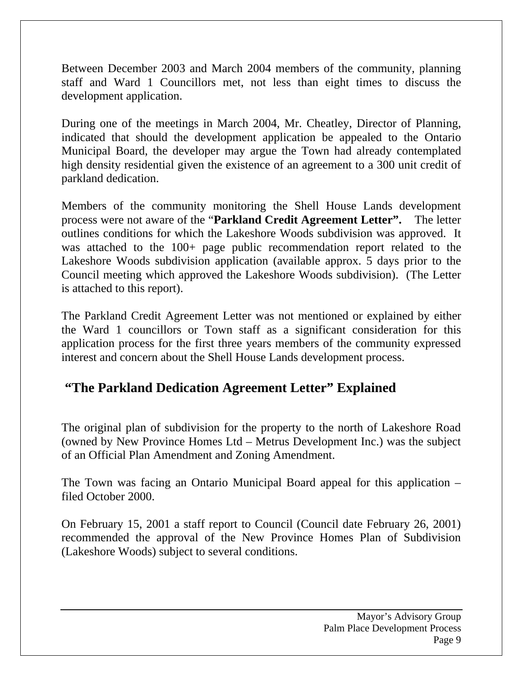Between December 2003 and March 2004 members of the community, planning staff and Ward 1 Councillors met, not less than eight times to discuss the development application.

During one of the meetings in March 2004, Mr. Cheatley, Director of Planning, indicated that should the development application be appealed to the Ontario Municipal Board, the developer may argue the Town had already contemplated high density residential given the existence of an agreement to a 300 unit credit of parkland dedication.

Members of the community monitoring the Shell House Lands development process were not aware of the "**Parkland Credit Agreement Letter".** The letter outlines conditions for which the Lakeshore Woods subdivision was approved. It was attached to the 100+ page public recommendation report related to the Lakeshore Woods subdivision application (available approx. 5 days prior to the Council meeting which approved the Lakeshore Woods subdivision). (The Letter is attached to this report).

The Parkland Credit Agreement Letter was not mentioned or explained by either the Ward 1 councillors or Town staff as a significant consideration for this application process for the first three years members of the community expressed interest and concern about the Shell House Lands development process.

#### **"The Parkland Dedication Agreement Letter" Explained**

The original plan of subdivision for the property to the north of Lakeshore Road (owned by New Province Homes Ltd – Metrus Development Inc.) was the subject of an Official Plan Amendment and Zoning Amendment.

The Town was facing an Ontario Municipal Board appeal for this application – filed October 2000.

On February 15, 2001 a staff report to Council (Council date February 26, 2001) recommended the approval of the New Province Homes Plan of Subdivision (Lakeshore Woods) subject to several conditions.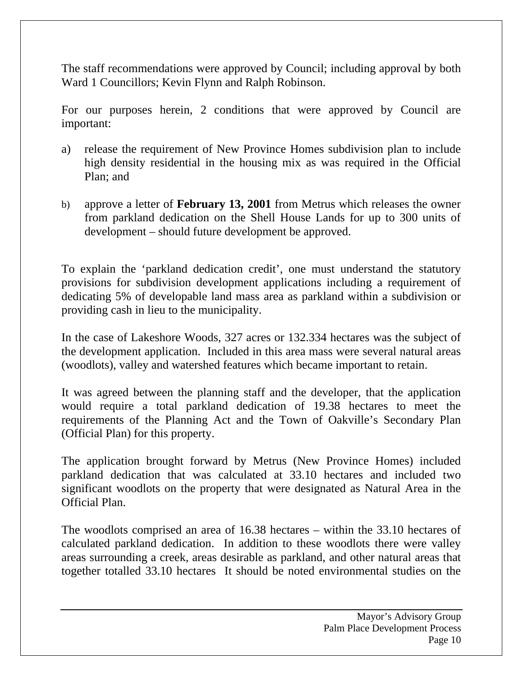The staff recommendations were approved by Council; including approval by both Ward 1 Councillors; Kevin Flynn and Ralph Robinson.

For our purposes herein, 2 conditions that were approved by Council are important:

- a) release the requirement of New Province Homes subdivision plan to include high density residential in the housing mix as was required in the Official Plan; and
- b) approve a letter of **February 13, 2001** from Metrus which releases the owner from parkland dedication on the Shell House Lands for up to 300 units of development – should future development be approved.

To explain the 'parkland dedication credit', one must understand the statutory provisions for subdivision development applications including a requirement of dedicating 5% of developable land mass area as parkland within a subdivision or providing cash in lieu to the municipality.

In the case of Lakeshore Woods, 327 acres or 132.334 hectares was the subject of the development application. Included in this area mass were several natural areas (woodlots), valley and watershed features which became important to retain.

It was agreed between the planning staff and the developer, that the application would require a total parkland dedication of 19.38 hectares to meet the requirements of the Planning Act and the Town of Oakville's Secondary Plan (Official Plan) for this property.

The application brought forward by Metrus (New Province Homes) included parkland dedication that was calculated at 33.10 hectares and included two significant woodlots on the property that were designated as Natural Area in the Official Plan.

The woodlots comprised an area of 16.38 hectares – within the 33.10 hectares of calculated parkland dedication. In addition to these woodlots there were valley areas surrounding a creek, areas desirable as parkland, and other natural areas that together totalled 33.10 hectares It should be noted environmental studies on the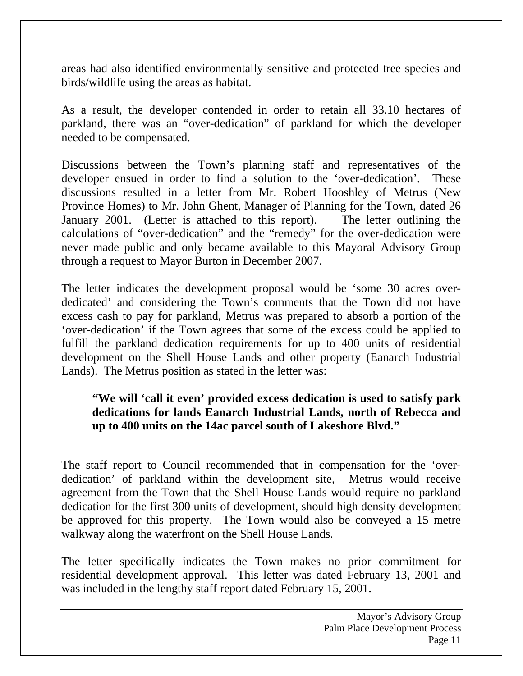areas had also identified environmentally sensitive and protected tree species and birds/wildlife using the areas as habitat.

As a result, the developer contended in order to retain all 33.10 hectares of parkland, there was an "over-dedication" of parkland for which the developer needed to be compensated.

Discussions between the Town's planning staff and representatives of the developer ensued in order to find a solution to the 'over-dedication'. These discussions resulted in a letter from Mr. Robert Hooshley of Metrus (New Province Homes) to Mr. John Ghent, Manager of Planning for the Town, dated 26 January 2001. (Letter is attached to this report). The letter outlining the calculations of "over-dedication" and the "remedy" for the over-dedication were never made public and only became available to this Mayoral Advisory Group through a request to Mayor Burton in December 2007.

The letter indicates the development proposal would be 'some 30 acres overdedicated' and considering the Town's comments that the Town did not have excess cash to pay for parkland, Metrus was prepared to absorb a portion of the 'over-dedication' if the Town agrees that some of the excess could be applied to fulfill the parkland dedication requirements for up to 400 units of residential development on the Shell House Lands and other property (Eanarch Industrial Lands). The Metrus position as stated in the letter was:

#### **"We will 'call it even' provided excess dedication is used to satisfy park dedications for lands Eanarch Industrial Lands, north of Rebecca and up to 400 units on the 14ac parcel south of Lakeshore Blvd."**

The staff report to Council recommended that in compensation for the 'overdedication' of parkland within the development site, Metrus would receive agreement from the Town that the Shell House Lands would require no parkland dedication for the first 300 units of development, should high density development be approved for this property. The Town would also be conveyed a 15 metre walkway along the waterfront on the Shell House Lands.

The letter specifically indicates the Town makes no prior commitment for residential development approval. This letter was dated February 13, 2001 and was included in the lengthy staff report dated February 15, 2001.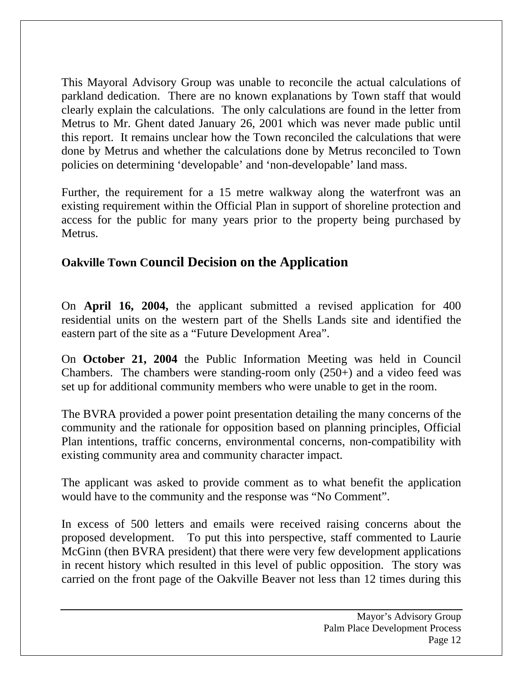This Mayoral Advisory Group was unable to reconcile the actual calculations of parkland dedication. There are no known explanations by Town staff that would clearly explain the calculations. The only calculations are found in the letter from Metrus to Mr. Ghent dated January 26, 2001 which was never made public until this report. It remains unclear how the Town reconciled the calculations that were done by Metrus and whether the calculations done by Metrus reconciled to Town policies on determining 'developable' and 'non-developable' land mass.

Further, the requirement for a 15 metre walkway along the waterfront was an existing requirement within the Official Plan in support of shoreline protection and access for the public for many years prior to the property being purchased by Metrus.

#### **Oakville Town Council Decision on the Application**

On **April 16, 2004,** the applicant submitted a revised application for 400 residential units on the western part of the Shells Lands site and identified the eastern part of the site as a "Future Development Area".

On **October 21, 2004** the Public Information Meeting was held in Council Chambers. The chambers were standing-room only (250+) and a video feed was set up for additional community members who were unable to get in the room.

The BVRA provided a power point presentation detailing the many concerns of the community and the rationale for opposition based on planning principles, Official Plan intentions, traffic concerns, environmental concerns, non-compatibility with existing community area and community character impact.

The applicant was asked to provide comment as to what benefit the application would have to the community and the response was "No Comment".

In excess of 500 letters and emails were received raising concerns about the proposed development. To put this into perspective, staff commented to Laurie McGinn (then BVRA president) that there were very few development applications in recent history which resulted in this level of public opposition. The story was carried on the front page of the Oakville Beaver not less than 12 times during this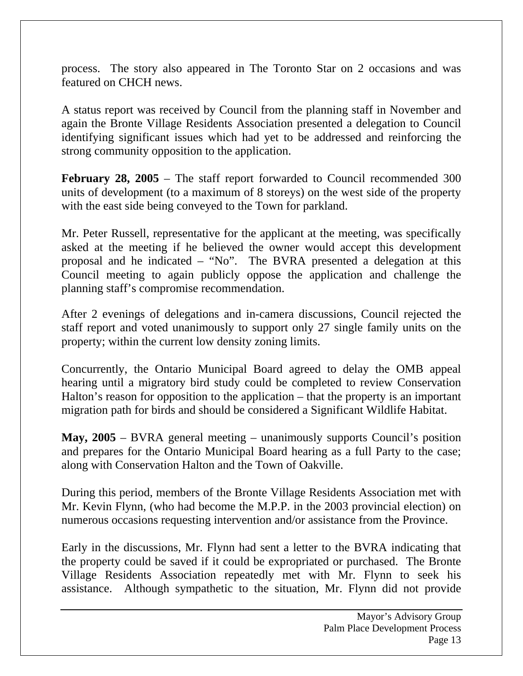process. The story also appeared in The Toronto Star on 2 occasions and was featured on CHCH news.

A status report was received by Council from the planning staff in November and again the Bronte Village Residents Association presented a delegation to Council identifying significant issues which had yet to be addressed and reinforcing the strong community opposition to the application.

**February 28, 2005** – The staff report forwarded to Council recommended 300 units of development (to a maximum of 8 storeys) on the west side of the property with the east side being conveyed to the Town for parkland.

Mr. Peter Russell, representative for the applicant at the meeting, was specifically asked at the meeting if he believed the owner would accept this development proposal and he indicated – "No". The BVRA presented a delegation at this Council meeting to again publicly oppose the application and challenge the planning staff's compromise recommendation.

After 2 evenings of delegations and in-camera discussions, Council rejected the staff report and voted unanimously to support only 27 single family units on the property; within the current low density zoning limits.

Concurrently, the Ontario Municipal Board agreed to delay the OMB appeal hearing until a migratory bird study could be completed to review Conservation Halton's reason for opposition to the application – that the property is an important migration path for birds and should be considered a Significant Wildlife Habitat.

**May, 2005** – BVRA general meeting – unanimously supports Council's position and prepares for the Ontario Municipal Board hearing as a full Party to the case; along with Conservation Halton and the Town of Oakville.

During this period, members of the Bronte Village Residents Association met with Mr. Kevin Flynn, (who had become the M.P.P. in the 2003 provincial election) on numerous occasions requesting intervention and/or assistance from the Province.

Early in the discussions, Mr. Flynn had sent a letter to the BVRA indicating that the property could be saved if it could be expropriated or purchased. The Bronte Village Residents Association repeatedly met with Mr. Flynn to seek his assistance. Although sympathetic to the situation, Mr. Flynn did not provide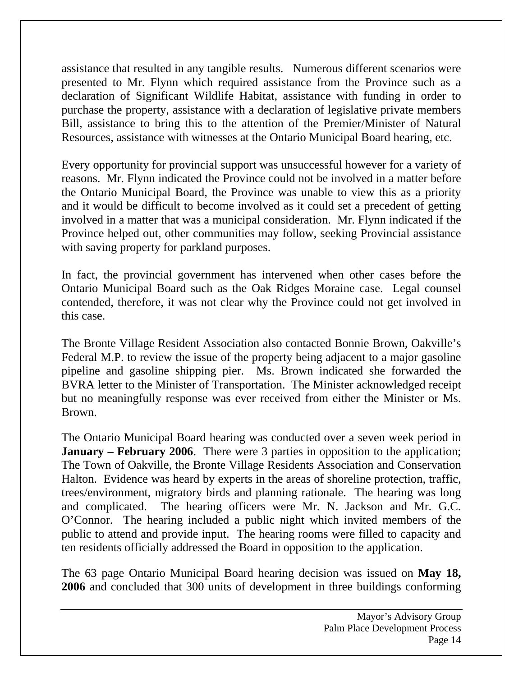assistance that resulted in any tangible results. Numerous different scenarios were presented to Mr. Flynn which required assistance from the Province such as a declaration of Significant Wildlife Habitat, assistance with funding in order to purchase the property, assistance with a declaration of legislative private members Bill, assistance to bring this to the attention of the Premier/Minister of Natural Resources, assistance with witnesses at the Ontario Municipal Board hearing, etc.

Every opportunity for provincial support was unsuccessful however for a variety of reasons. Mr. Flynn indicated the Province could not be involved in a matter before the Ontario Municipal Board, the Province was unable to view this as a priority and it would be difficult to become involved as it could set a precedent of getting involved in a matter that was a municipal consideration. Mr. Flynn indicated if the Province helped out, other communities may follow, seeking Provincial assistance with saving property for parkland purposes.

In fact, the provincial government has intervened when other cases before the Ontario Municipal Board such as the Oak Ridges Moraine case. Legal counsel contended, therefore, it was not clear why the Province could not get involved in this case.

The Bronte Village Resident Association also contacted Bonnie Brown, Oakville's Federal M.P. to review the issue of the property being adjacent to a major gasoline pipeline and gasoline shipping pier. Ms. Brown indicated she forwarded the BVRA letter to the Minister of Transportation. The Minister acknowledged receipt but no meaningfully response was ever received from either the Minister or Ms. Brown.

The Ontario Municipal Board hearing was conducted over a seven week period in **January – February 2006.** There were 3 parties in opposition to the application; The Town of Oakville, the Bronte Village Residents Association and Conservation Halton. Evidence was heard by experts in the areas of shoreline protection, traffic, trees/environment, migratory birds and planning rationale. The hearing was long and complicated. The hearing officers were Mr. N. Jackson and Mr. G.C. O'Connor. The hearing included a public night which invited members of the public to attend and provide input. The hearing rooms were filled to capacity and ten residents officially addressed the Board in opposition to the application.

The 63 page Ontario Municipal Board hearing decision was issued on **May 18, 2006** and concluded that 300 units of development in three buildings conforming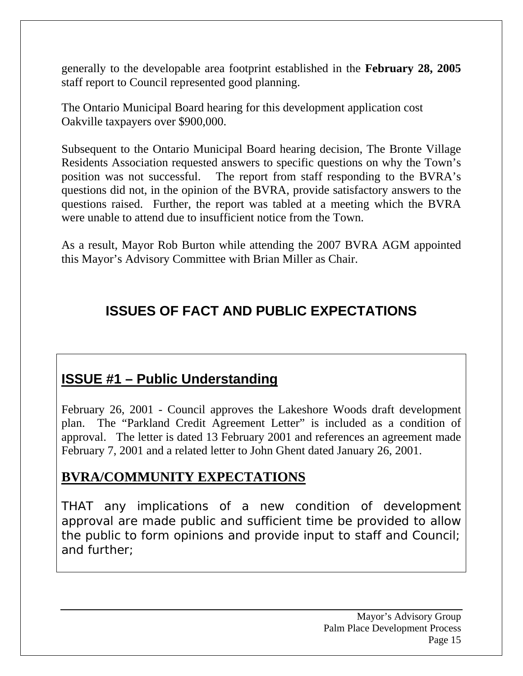generally to the developable area footprint established in the **February 28, 2005** staff report to Council represented good planning.

The Ontario Municipal Board hearing for this development application cost Oakville taxpayers over \$900,000.

Subsequent to the Ontario Municipal Board hearing decision, The Bronte Village Residents Association requested answers to specific questions on why the Town's position was not successful. The report from staff responding to the BVRA's questions did not, in the opinion of the BVRA, provide satisfactory answers to the questions raised. Further, the report was tabled at a meeting which the BVRA were unable to attend due to insufficient notice from the Town.

As a result, Mayor Rob Burton while attending the 2007 BVRA AGM appointed this Mayor's Advisory Committee with Brian Miller as Chair.

### **ISSUES OF FACT AND PUBLIC EXPECTATIONS**

### **ISSUE #1 – Public Understanding**

February 26, 2001 - Council approves the Lakeshore Woods draft development plan. The "Parkland Credit Agreement Letter" is included as a condition of approval. The letter is dated 13 February 2001 and references an agreement made February 7, 2001 and a related letter to John Ghent dated January 26, 2001.

#### **BVRA/COMMUNITY EXPECTATIONS**

THAT any implications of a new condition of development approval are made public and sufficient time be provided to allow the public to form opinions and provide input to staff and Council; and further;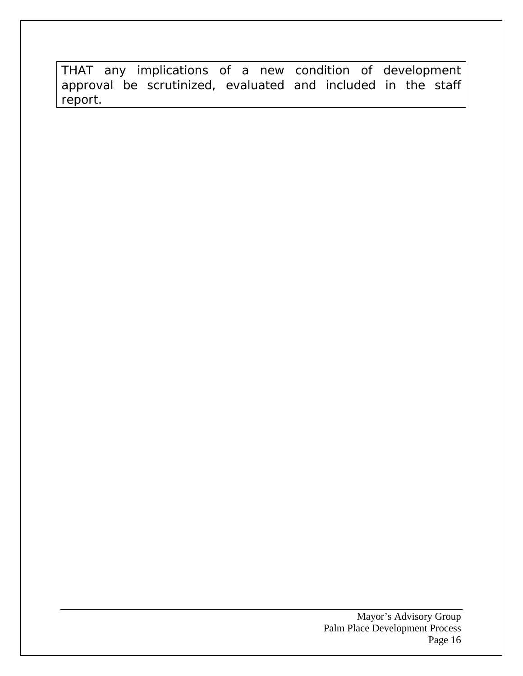THAT any implications of a new condition of development approval be scrutinized, evaluated and included in the staff report.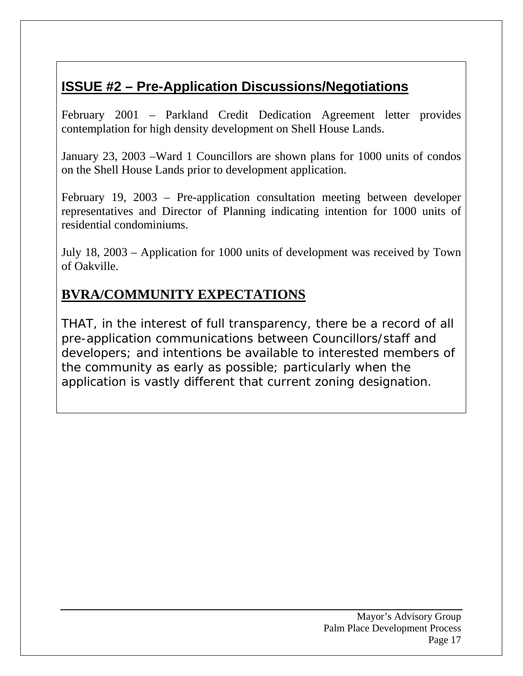# **ISSUE #2 – Pre-Application Discussions/Negotiations**

February 2001 – Parkland Credit Dedication Agreement letter provides contemplation for high density development on Shell House Lands.

January 23, 2003 –Ward 1 Councillors are shown plans for 1000 units of condos on the Shell House Lands prior to development application.

February 19, 2003 – Pre-application consultation meeting between developer representatives and Director of Planning indicating intention for 1000 units of residential condominiums.

July 18, 2003 – Application for 1000 units of development was received by Town of Oakville.

#### **BVRA/COMMUNITY EXPECTATIONS**

THAT, in the interest of full transparency, there be a record of all pre-application communications between Councillors/staff and developers; and intentions be available to interested members of the community as early as possible; particularly when the application is vastly different that current zoning designation.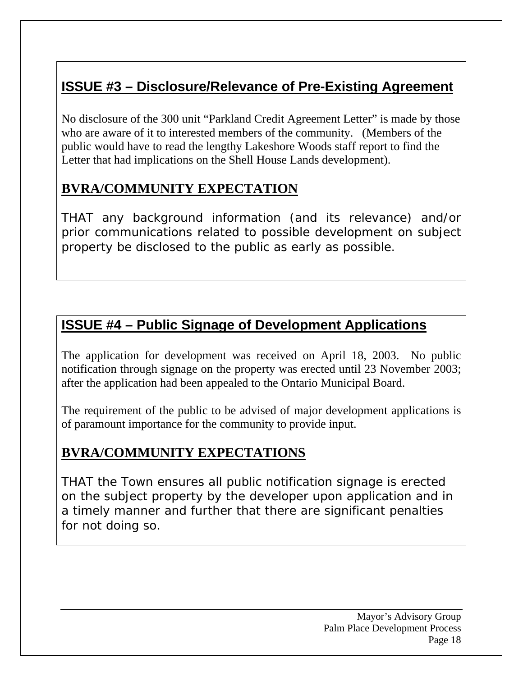# **ISSUE #3 – Disclosure/Relevance of Pre-Existing Agreement**

No disclosure of the 300 unit "Parkland Credit Agreement Letter" is made by those who are aware of it to interested members of the community. (Members of the public would have to read the lengthy Lakeshore Woods staff report to find the Letter that had implications on the Shell House Lands development).

#### **BVRA/COMMUNITY EXPECTATION**

THAT any background information (and its relevance) and/or prior communications related to possible development on subject property be disclosed to the public as early as possible.

### **ISSUE #4 – Public Signage of Development Applications**

The application for development was received on April 18, 2003. No public notification through signage on the property was erected until 23 November 2003; after the application had been appealed to the Ontario Municipal Board.

The requirement of the public to be advised of major development applications is of paramount importance for the community to provide input.

#### **BVRA/COMMUNITY EXPECTATIONS**

THAT the Town ensures all public notification signage is erected on the subject property by the developer upon application and in a timely manner and further that there are significant penalties for not doing so.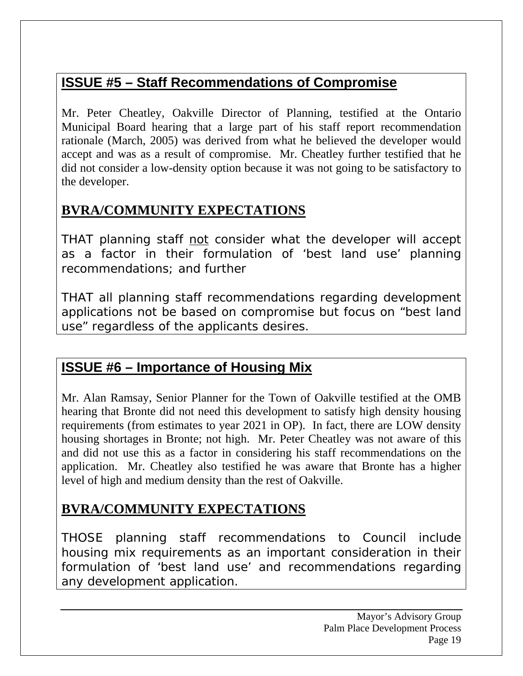# **ISSUE #5 – Staff Recommendations of Compromise**

Mr. Peter Cheatley, Oakville Director of Planning, testified at the Ontario Municipal Board hearing that a large part of his staff report recommendation rationale (March, 2005) was derived from what he believed the developer would accept and was as a result of compromise. Mr. Cheatley further testified that he did not consider a low-density option because it was not going to be satisfactory to the developer.

### **BVRA/COMMUNITY EXPECTATIONS**

THAT planning staff not consider what the developer will accept as a factor in their formulation of 'best land use' planning recommendations; and further

THAT all planning staff recommendations regarding development applications not be based on compromise but focus on "best land use" regardless of the applicants desires.

# **ISSUE #6 – Importance of Housing Mix**

Mr. Alan Ramsay, Senior Planner for the Town of Oakville testified at the OMB hearing that Bronte did not need this development to satisfy high density housing requirements (from estimates to year 2021 in OP). In fact, there are LOW density housing shortages in Bronte; not high. Mr. Peter Cheatley was not aware of this and did not use this as a factor in considering his staff recommendations on the application. Mr. Cheatley also testified he was aware that Bronte has a higher level of high and medium density than the rest of Oakville.

### **BVRA/COMMUNITY EXPECTATIONS**

THOSE planning staff recommendations to Council include housing mix requirements as an important consideration in their formulation of 'best land use' and recommendations regarding any development application.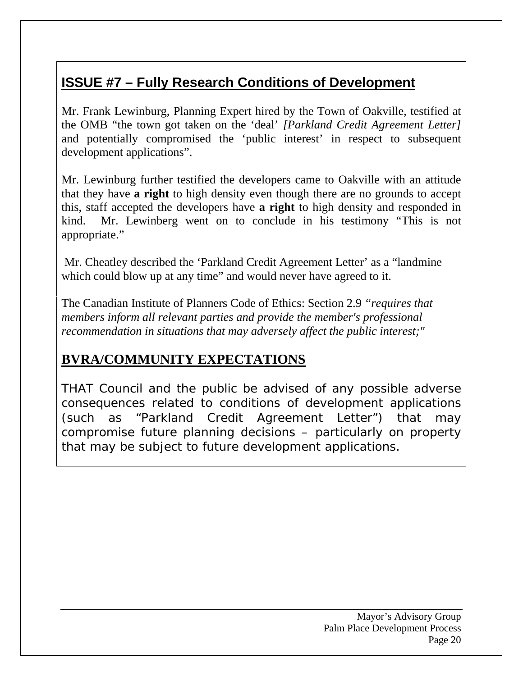# **ISSUE #7 – Fully Research Conditions of Development**

Mr. Frank Lewinburg, Planning Expert hired by the Town of Oakville, testified at the OMB "the town got taken on the 'deal' *[Parkland Credit Agreement Letter]* and potentially compromised the 'public interest' in respect to subsequent development applications".

Mr. Lewinburg further testified the developers came to Oakville with an attitude that they have **a right** to high density even though there are no grounds to accept this, staff accepted the developers have **a right** to high density and responded in kind. Mr. Lewinberg went on to conclude in his testimony "This is not appropriate."

 Mr. Cheatley described the 'Parkland Credit Agreement Letter' as a "landmine which could blow up at any time" and would never have agreed to it.

The Canadian Institute of Planners Code of Ethics: Section 2.9 *"requires that members inform all relevant parties and provide the member's professional recommendation in situations that may adversely affect the public interest;"*

#### **BVRA/COMMUNITY EXPECTATIONS**

THAT Council and the public be advised of any possible adverse consequences related to conditions of development applications (such as "Parkland Credit Agreement Letter") that may compromise future planning decisions – particularly on property that may be subject to future development applications.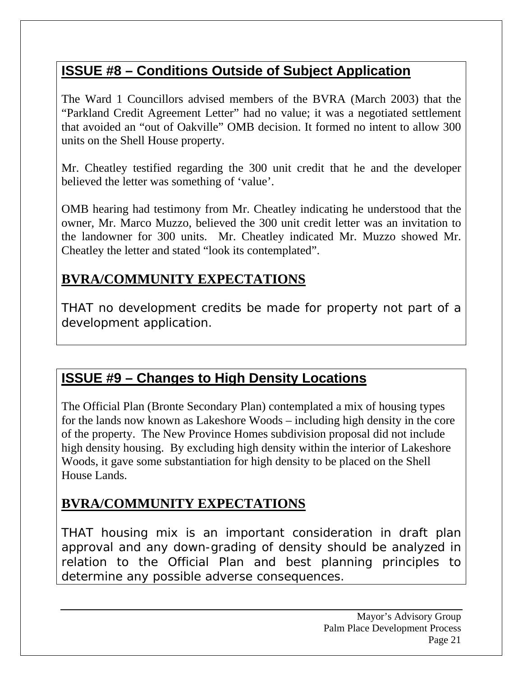# **ISSUE #8 – Conditions Outside of Subject Application**

The Ward 1 Councillors advised members of the BVRA (March 2003) that the "Parkland Credit Agreement Letter" had no value; it was a negotiated settlement that avoided an "out of Oakville" OMB decision. It formed no intent to allow 300 units on the Shell House property.

Mr. Cheatley testified regarding the 300 unit credit that he and the developer believed the letter was something of 'value'.

OMB hearing had testimony from Mr. Cheatley indicating he understood that the owner, Mr. Marco Muzzo, believed the 300 unit credit letter was an invitation to the landowner for 300 units. Mr. Cheatley indicated Mr. Muzzo showed Mr. Cheatley the letter and stated "look its contemplated".

#### **BVRA/COMMUNITY EXPECTATIONS**

THAT no development credits be made for property not part of a development application.

#### **ISSUE #9 – Changes to High Density Locations**

The Official Plan (Bronte Secondary Plan) contemplated a mix of housing types for the lands now known as Lakeshore Woods – including high density in the core of the property. The New Province Homes subdivision proposal did not include high density housing. By excluding high density within the interior of Lakeshore Woods, it gave some substantiation for high density to be placed on the Shell House Lands.

#### **BVRA/COMMUNITY EXPECTATIONS**

THAT housing mix is an important consideration in draft plan approval and any down-grading of density should be analyzed in relation to the Official Plan and best planning principles to determine any possible adverse consequences.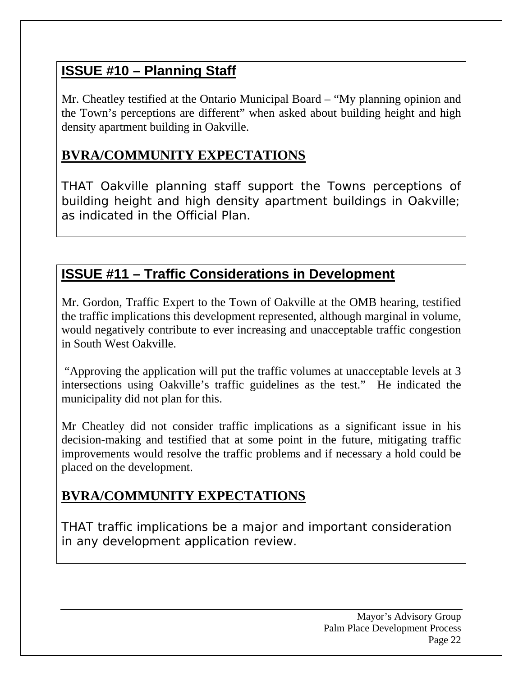# **ISSUE #10 – Planning Staff**

Mr. Cheatley testified at the Ontario Municipal Board – "My planning opinion and the Town's perceptions are different" when asked about building height and high density apartment building in Oakville.

### **BVRA/COMMUNITY EXPECTATIONS**

THAT Oakville planning staff support the Towns perceptions of building height and high density apartment buildings in Oakville; as indicated in the Official Plan.

### **ISSUE #11 – Traffic Considerations in Development**

Mr. Gordon, Traffic Expert to the Town of Oakville at the OMB hearing, testified the traffic implications this development represented, although marginal in volume, would negatively contribute to ever increasing and unacceptable traffic congestion in South West Oakville.

 "Approving the application will put the traffic volumes at unacceptable levels at 3 intersections using Oakville's traffic guidelines as the test." He indicated the municipality did not plan for this.

Mr Cheatley did not consider traffic implications as a significant issue in his decision-making and testified that at some point in the future, mitigating traffic improvements would resolve the traffic problems and if necessary a hold could be placed on the development.

### **BVRA/COMMUNITY EXPECTATIONS**

THAT traffic implications be a major and important consideration in any development application review.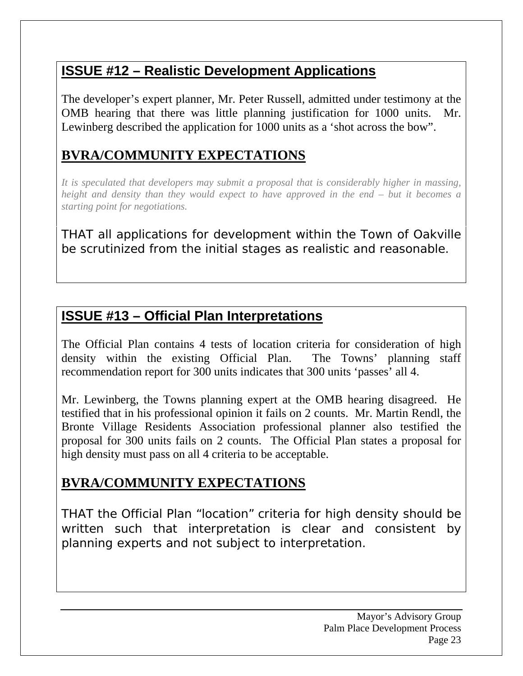# **ISSUE #12 – Realistic Development Applications**

The developer's expert planner, Mr. Peter Russell, admitted under testimony at the OMB hearing that there was little planning justification for 1000 units. Mr. Lewinberg described the application for 1000 units as a 'shot across the bow".

### **BVRA/COMMUNITY EXPECTATIONS**

*It is speculated that developers may submit a proposal that is considerably higher in massing, height and density than they would expect to have approved in the end – but it becomes a starting point for negotiations.* 

THAT all applications for development within the Town of Oakville be scrutinized from the initial stages as realistic and reasonable.

### **ISSUE #13 – Official Plan Interpretations**

The Official Plan contains 4 tests of location criteria for consideration of high density within the existing Official Plan. The Towns' planning staff recommendation report for 300 units indicates that 300 units 'passes' all 4.

Mr. Lewinberg, the Towns planning expert at the OMB hearing disagreed. He testified that in his professional opinion it fails on 2 counts. Mr. Martin Rendl, the Bronte Village Residents Association professional planner also testified the proposal for 300 units fails on 2 counts. The Official Plan states a proposal for high density must pass on all 4 criteria to be acceptable.

#### **BVRA/COMMUNITY EXPECTATIONS**

THAT the Official Plan "location" criteria for high density should be written such that interpretation is clear and consistent by planning experts and not subject to interpretation.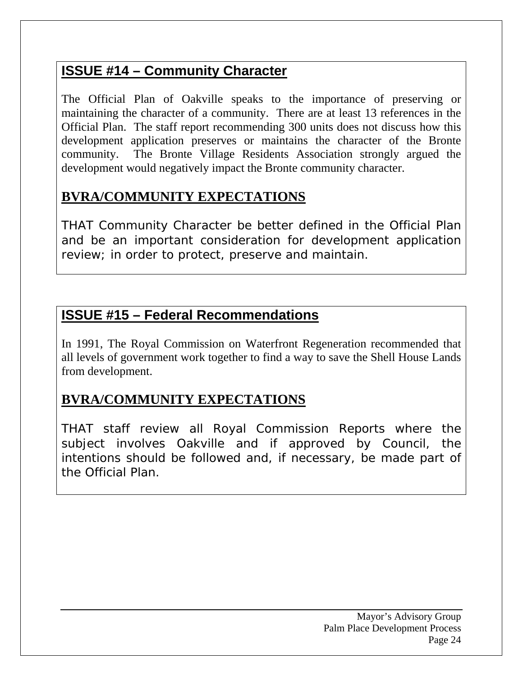### **ISSUE #14 – Community Character**

The Official Plan of Oakville speaks to the importance of preserving or maintaining the character of a community. There are at least 13 references in the Official Plan. The staff report recommending 300 units does not discuss how this development application preserves or maintains the character of the Bronte community. The Bronte Village Residents Association strongly argued the development would negatively impact the Bronte community character.

#### **BVRA/COMMUNITY EXPECTATIONS**

THAT Community Character be better defined in the Official Plan and be an important consideration for development application review; in order to protect, preserve and maintain.

#### **ISSUE #15 – Federal Recommendations**

In 1991, The Royal Commission on Waterfront Regeneration recommended that all levels of government work together to find a way to save the Shell House Lands from development.

# **BVRA/COMMUNITY EXPECTATIONS**

THAT staff review all Royal Commission Reports where the subject involves Oakville and if approved by Council, the intentions should be followed and, if necessary, be made part of the Official Plan.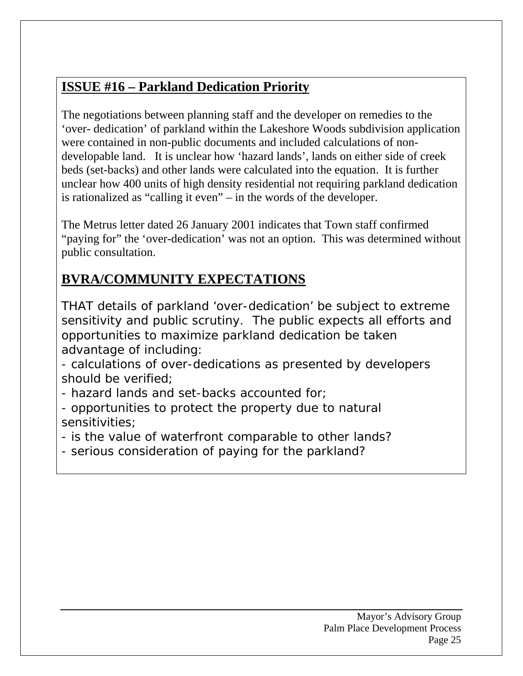### **ISSUE #16 – Parkland Dedication Priority**

The negotiations between planning staff and the developer on remedies to the 'over- dedication' of parkland within the Lakeshore Woods subdivision application were contained in non-public documents and included calculations of nondevelopable land. It is unclear how 'hazard lands', lands on either side of creek beds (set-backs) and other lands were calculated into the equation. It is further unclear how 400 units of high density residential not requiring parkland dedication is rationalized as "calling it even" – in the words of the developer.

The Metrus letter dated 26 January 2001 indicates that Town staff confirmed "paying for" the 'over-dedication' was not an option. This was determined without public consultation.

### **BVRA/COMMUNITY EXPECTATIONS**

THAT details of parkland 'over-dedication' be subject to extreme sensitivity and public scrutiny. The public expects all efforts and opportunities to maximize parkland dedication be taken advantage of including:

- calculations of over-dedications as presented by developers should be verified;
- hazard lands and set-backs accounted for;
- opportunities to protect the property due to natural sensitivities;
- is the value of waterfront comparable to other lands?
- serious consideration of paying for the parkland?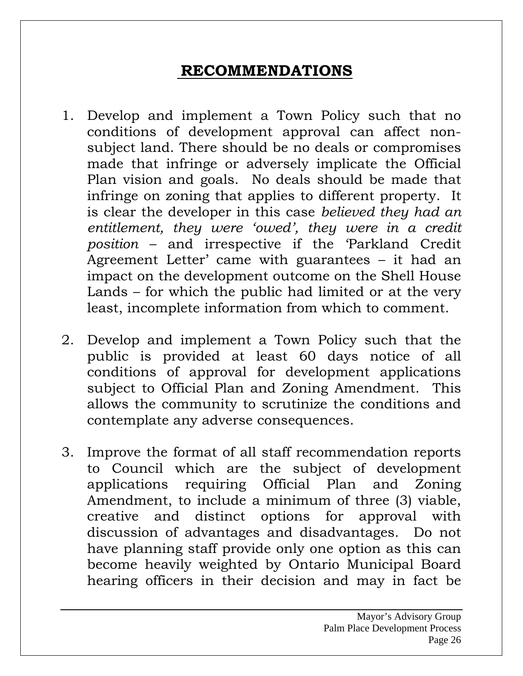# **RECOMMENDATIONS**

- 1. Develop and implement a Town Policy such that no conditions of development approval can affect nonsubject land. There should be no deals or compromises made that infringe or adversely implicate the Official Plan vision and goals. No deals should be made that infringe on zoning that applies to different property. It is clear the developer in this case *believed they had an entitlement, they were 'owed', they were in a credit position* – and irrespective if the 'Parkland Credit Agreement Letter' came with guarantees – it had an impact on the development outcome on the Shell House Lands – for which the public had limited or at the very least, incomplete information from which to comment.
- 2. Develop and implement a Town Policy such that the public is provided at least 60 days notice of all conditions of approval for development applications subject to Official Plan and Zoning Amendment. This allows the community to scrutinize the conditions and contemplate any adverse consequences.
- 3. Improve the format of all staff recommendation reports to Council which are the subject of development applications requiring Official Plan and Zoning Amendment, to include a minimum of three (3) viable, creative and distinct options for approval with discussion of advantages and disadvantages. Do not have planning staff provide only one option as this can become heavily weighted by Ontario Municipal Board hearing officers in their decision and may in fact be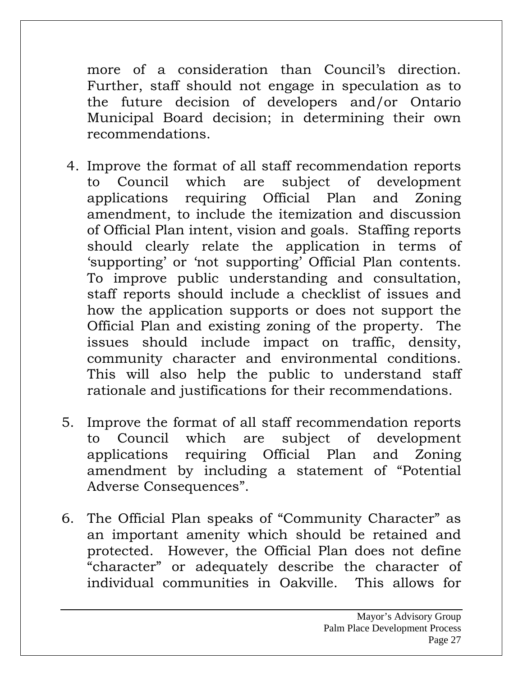more of a consideration than Council's direction. Further, staff should not engage in speculation as to the future decision of developers and/or Ontario Municipal Board decision; in determining their own recommendations.

- 4. Improve the format of all staff recommendation reports to Council which are subject of development applications requiring Official Plan and Zoning amendment, to include the itemization and discussion of Official Plan intent, vision and goals. Staffing reports should clearly relate the application in terms of 'supporting' or 'not supporting' Official Plan contents. To improve public understanding and consultation, staff reports should include a checklist of issues and how the application supports or does not support the Official Plan and existing zoning of the property. The issues should include impact on traffic, density, community character and environmental conditions. This will also help the public to understand staff rationale and justifications for their recommendations.
- 5. Improve the format of all staff recommendation reports to Council which are subject of development applications requiring Official Plan and Zoning amendment by including a statement of "Potential Adverse Consequences".
- 6. The Official Plan speaks of "Community Character" as an important amenity which should be retained and protected. However, the Official Plan does not define "character" or adequately describe the character of individual communities in Oakville. This allows for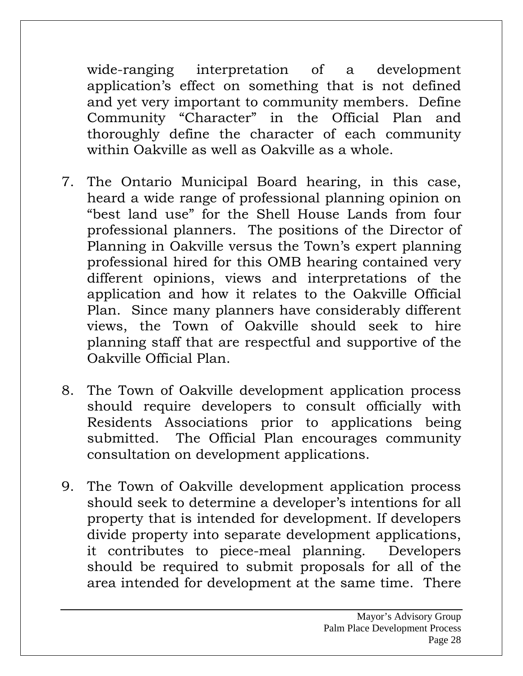wide-ranging interpretation of a development application's effect on something that is not defined and yet very important to community members. Define Community "Character" in the Official Plan and thoroughly define the character of each community within Oakville as well as Oakville as a whole.

- 7. The Ontario Municipal Board hearing, in this case, heard a wide range of professional planning opinion on "best land use" for the Shell House Lands from four professional planners. The positions of the Director of Planning in Oakville versus the Town's expert planning professional hired for this OMB hearing contained very different opinions, views and interpretations of the application and how it relates to the Oakville Official Plan. Since many planners have considerably different views, the Town of Oakville should seek to hire planning staff that are respectful and supportive of the Oakville Official Plan.
- 8. The Town of Oakville development application process should require developers to consult officially with Residents Associations prior to applications being submitted. The Official Plan encourages community consultation on development applications.
- 9. The Town of Oakville development application process should seek to determine a developer's intentions for all property that is intended for development. If developers divide property into separate development applications, it contributes to piece-meal planning. Developers should be required to submit proposals for all of the area intended for development at the same time. There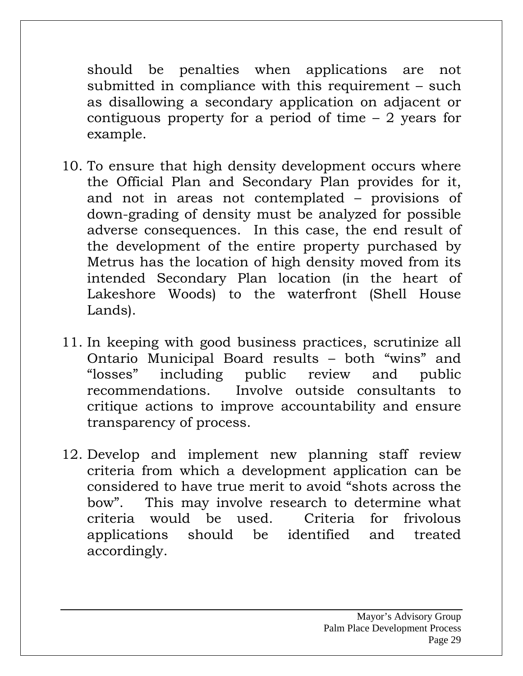should be penalties when applications are not submitted in compliance with this requirement – such as disallowing a secondary application on adjacent or contiguous property for a period of time – 2 years for example.

- 10. To ensure that high density development occurs where the Official Plan and Secondary Plan provides for it, and not in areas not contemplated – provisions of down-grading of density must be analyzed for possible adverse consequences. In this case, the end result of the development of the entire property purchased by Metrus has the location of high density moved from its intended Secondary Plan location (in the heart of Lakeshore Woods) to the waterfront (Shell House Lands).
- 11. In keeping with good business practices, scrutinize all Ontario Municipal Board results – both "wins" and "losses" including public review and public recommendations. Involve outside consultants to critique actions to improve accountability and ensure transparency of process.
- 12. Develop and implement new planning staff review criteria from which a development application can be considered to have true merit to avoid "shots across the bow". This may involve research to determine what criteria would be used. Criteria for frivolous applications should be identified and treated accordingly.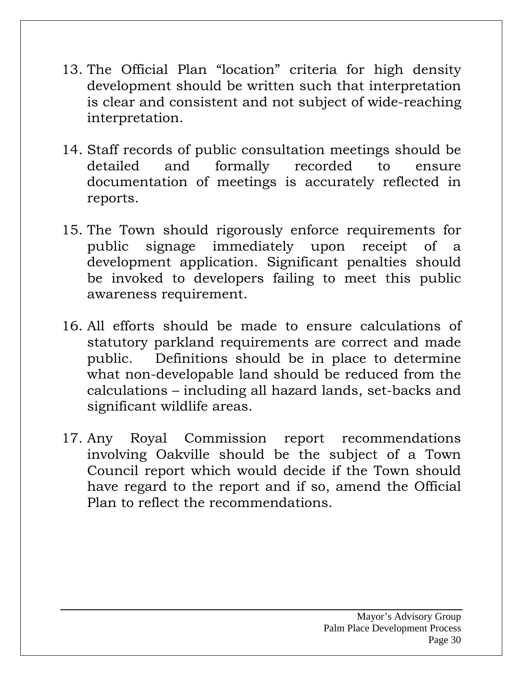- 13. The Official Plan "location" criteria for high density development should be written such that interpretation is clear and consistent and not subject of wide-reaching interpretation.
- 14. Staff records of public consultation meetings should be detailed and formally recorded to ensure documentation of meetings is accurately reflected in reports.
- 15. The Town should rigorously enforce requirements for public signage immediately upon receipt of a development application. Significant penalties should be invoked to developers failing to meet this public awareness requirement.
- 16. All efforts should be made to ensure calculations of statutory parkland requirements are correct and made public. Definitions should be in place to determine what non-developable land should be reduced from the calculations – including all hazard lands, set-backs and significant wildlife areas.
- 17. Any Royal Commission report recommendations involving Oakville should be the subject of a Town Council report which would decide if the Town should have regard to the report and if so, amend the Official Plan to reflect the recommendations.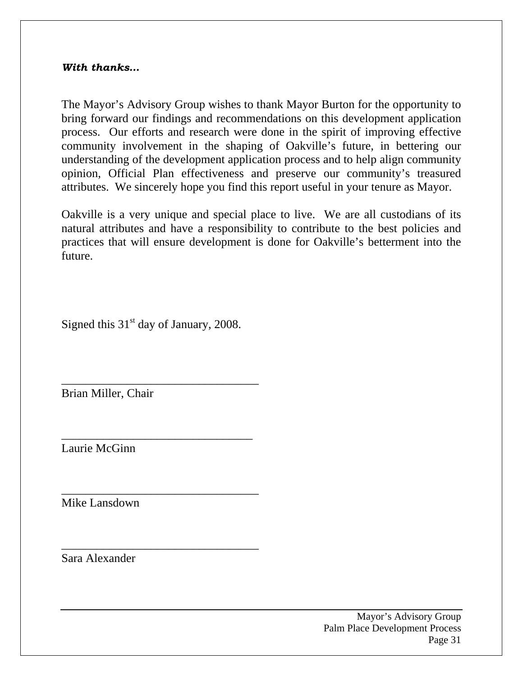#### *With thanks…*

The Mayor's Advisory Group wishes to thank Mayor Burton for the opportunity to bring forward our findings and recommendations on this development application process. Our efforts and research were done in the spirit of improving effective community involvement in the shaping of Oakville's future, in bettering our understanding of the development application process and to help align community opinion, Official Plan effectiveness and preserve our community's treasured attributes. We sincerely hope you find this report useful in your tenure as Mayor.

Oakville is a very unique and special place to live. We are all custodians of its natural attributes and have a responsibility to contribute to the best policies and practices that will ensure development is done for Oakville's betterment into the future.

Signed this  $31<sup>st</sup>$  day of January, 2008.

\_\_\_\_\_\_\_\_\_\_\_\_\_\_\_\_\_\_\_\_\_\_\_\_\_\_\_\_\_\_\_\_\_

\_\_\_\_\_\_\_\_\_\_\_\_\_\_\_\_\_\_\_\_\_\_\_\_\_\_\_\_\_\_\_\_

\_\_\_\_\_\_\_\_\_\_\_\_\_\_\_\_\_\_\_\_\_\_\_\_\_\_\_\_\_\_\_\_\_

\_\_\_\_\_\_\_\_\_\_\_\_\_\_\_\_\_\_\_\_\_\_\_\_\_\_\_\_\_\_\_\_\_

Brian Miller, Chair

Laurie McGinn

Mike Lansdown

Sara Alexander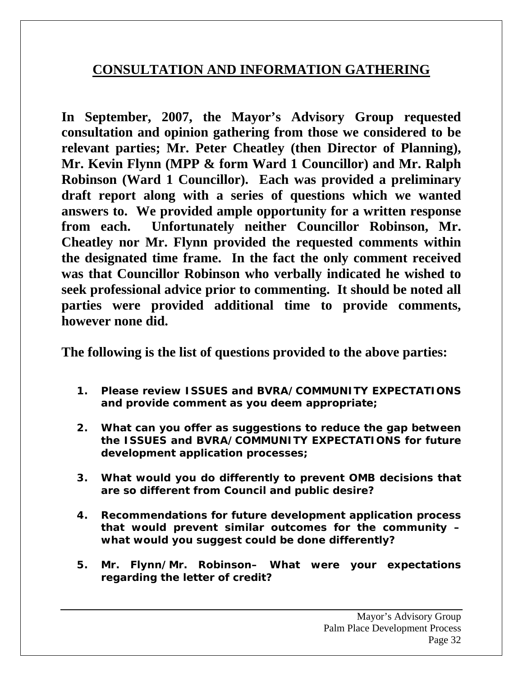#### **CONSULTATION AND INFORMATION GATHERING**

**In September, 2007, the Mayor's Advisory Group requested consultation and opinion gathering from those we considered to be relevant parties; Mr. Peter Cheatley (then Director of Planning), Mr. Kevin Flynn (MPP & form Ward 1 Councillor) and Mr. Ralph Robinson (Ward 1 Councillor). Each was provided a preliminary draft report along with a series of questions which we wanted answers to. We provided ample opportunity for a written response from each. Unfortunately neither Councillor Robinson, Mr. Cheatley nor Mr. Flynn provided the requested comments within the designated time frame. In the fact the only comment received was that Councillor Robinson who verbally indicated he wished to seek professional advice prior to commenting. It should be noted all parties were provided additional time to provide comments, however none did.** 

**The following is the list of questions provided to the above parties:** 

- **1. Please review ISSUES and BVRA/COMMUNITY EXPECTATIONS and provide comment as you deem appropriate;**
- **2. What can you offer as suggestions to reduce the gap between the ISSUES and BVRA/COMMUNITY EXPECTATIONS for future development application processes;**
- **3. What would you do differently to prevent OMB decisions that are so different from Council and public desire?**
- **4. Recommendations for future development application process that would prevent similar outcomes for the community – what would you suggest could be done differently?**
- **5. Mr. Flynn/Mr. Robinson– What were your expectations regarding the letter of credit?**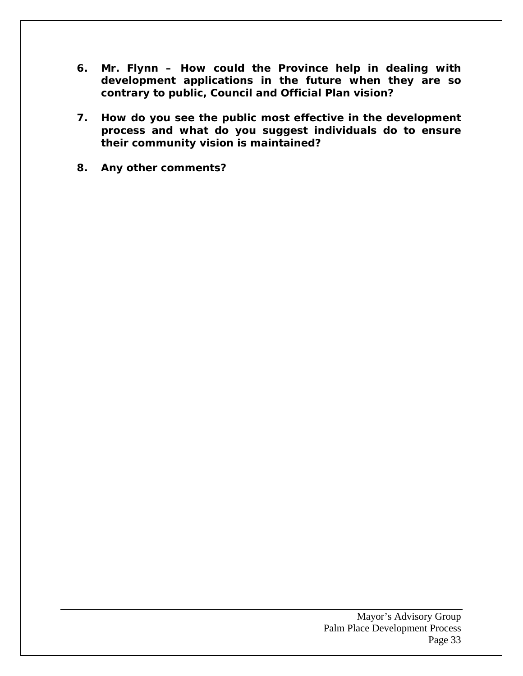- **6. Mr. Flynn How could the Province help in dealing with development applications in the future when they are so contrary to public, Council and Official Plan vision?**
- **7. How do you see the public most effective in the development process and what do you suggest individuals do to ensure their community vision is maintained?**
- **8. Any other comments?**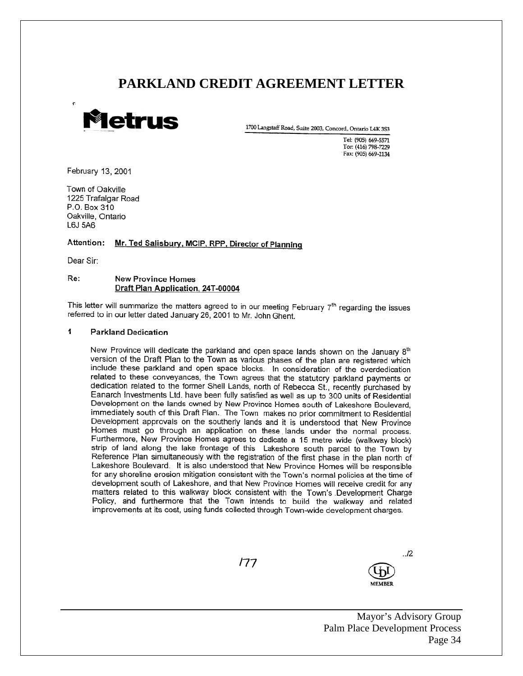#### **PARKLAND CREDIT AGREEMENT LETTER**



1700 Langstaff Road, Suite 2003, Concord, Ontario L4K 3S3

Tel: (905) 669-5571 Tor: (416) 798-7229 Fax: (905) 669-2134

February 13, 2001

Town of Oakville 1225 Trafalgar Road P.O. Box 310 Oakville, Ontario L6J 5A6

#### Mr. Ted Salisbury, MCIP, RPP, Director of Planning Attention:

Dear Sir:

#### Re: **New Province Homes** Draft Plan Application, 24T-00004

This letter will summarize the matters agreed to in our meeting February 7th regarding the issues referred to in our letter dated January 26, 2001 to Mr. John Ghent.

#### 4 **Parkland Dedication**

New Province will dedicate the parkland and open space lands shown on the January 8th version of the Draft Plan to the Town as various phases of the plan are registered which include these parkland and open space blocks. In consideration of the overdedication related to these conveyances, the Town agrees that the statutory parkland payments or dedication related to the former Shell Lands, north of Rebecca St., recently purchased by Eanarch Investments Ltd. have been fully satisfied as well as up to 300 units of Residential Development on the lands owned by New Province Homes south of Lakeshore Boulevard, immediately south of this Draft Plan. The Town makes no prior commitment to Residential Development approvals on the southerly lands and it is understood that New Province Homes must go through an application on these lands under the normal process. Furthermore, New Province Homes agrees to dedicate a 15 metre wide (walkway block) strip of land along the lake frontage of this Lakeshore south parcel to the Town by Reference Plan simultaneously with the registration of the first phase in the plan north of Lakeshore Boulevard. It is also understood that New Province Homes will be responsible for any shoreline erosion mitigation consistent with the Town's normal policies at the time of development south of Lakeshore, and that New Province Homes will receive credit for any matters related to this walkway block consistent with the Town's Development Charge Policy, and furthermore that the Town intends to build the walkway and related improvements at its cost, using funds collected through Town-wide development charges.

177



Mayor's Advisory Group Palm Place Development Process Page 34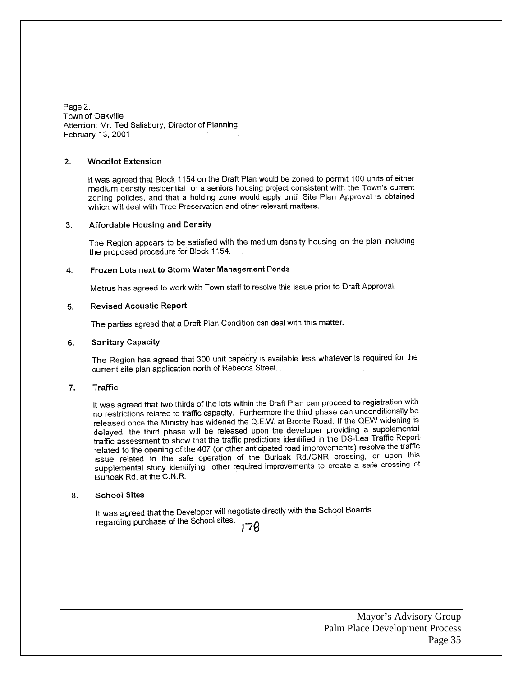Page 2. Town of Oakville Attention: Mr. Ted Salisbury, Director of Planning February 13, 2001

#### $2.$ **Woodlot Extension**

It was agreed that Block 1154 on the Draft Plan would be zoned to permit 100 units of either medium density residential or a seniors housing project consistent with the Town's current zoning policies, and that a holding zone would apply until Site Plan Approval is obtained which will deal with Tree Preservation and other relevant matters.

#### Affordable Housing and Density 3.

The Region appears to be satisfied with the medium density housing on the plan including the proposed procedure for Block 1154.

#### Frozen Lots next to Storm Water Management Ponds 4.

Metrus has agreed to work with Town staff to resolve this issue prior to Draft Approval.

#### **Revised Acoustic Report** 5.

The parties agreed that a Draft Plan Condition can deal with this matter.

#### 6. **Sanitary Capacity**

The Region has agreed that 300 unit capacity is available less whatever is required for the current site plan application north of Rebecca Street.

#### 7. Traffic

It was agreed that two thirds of the lots within the Draft Plan can proceed to registration with no restrictions related to traffic capacity. Furthermore the third phase can unconditionally be released once the Ministry has widened the Q.E.W. at Bronte Road. If the QEW widening is delayed, the third phase will be released upon the developer providing a supplemental traffic assessment to show that the traffic predictions identified in the DS-Lea Traffic Report related to the opening of the 407 (or other anticipated road improvements) resolve the traffic<br>related to the opening of the 407 (or other anticipated road improvements) resolve the traffic issue related to the safe operation of the Burloak Rd./CNR crossing, or upon this supplemental study identifying other required improvements to create a safe crossing of Burloak Rd. at the C.N.R.

#### **School Sites** 8.

It was agreed that the Developer will negotiate directly with the School Boards regarding purchase of the School sites.

178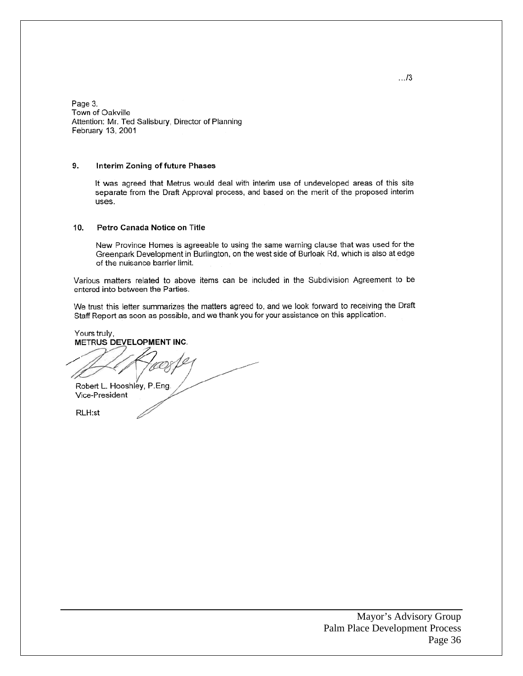Page 3. Town of Oakville Attention: Mr. Ted Salisbury, Director of Planning February 13, 2001

#### 9. Interim Zoning of future Phases

It was agreed that Metrus would deal with interim use of undeveloped areas of this site separate from the Draft Approval process, and based on the merit of the proposed interim uses.

#### $10.$ Petro Canada Notice on Title

New Province Homes is agreeable to using the same warning clause that was used for the Greenpark Development in Burlington, on the west side of Burloak Rd, which is also at edge of the nuisance barrier limit.

Various matters related to above items can be included in the Subdivision Agreement to be entered into between the Parties.

We trust this letter summarizes the matters agreed to, and we look forward to receiving the Draft Staff Report as soon as possible, and we thank you for your assistance on this application.

Yours truly, METRUS DEVELOPMENT INC.

Robert L. Hooshley, P.Eng. Vice-President

RLH:st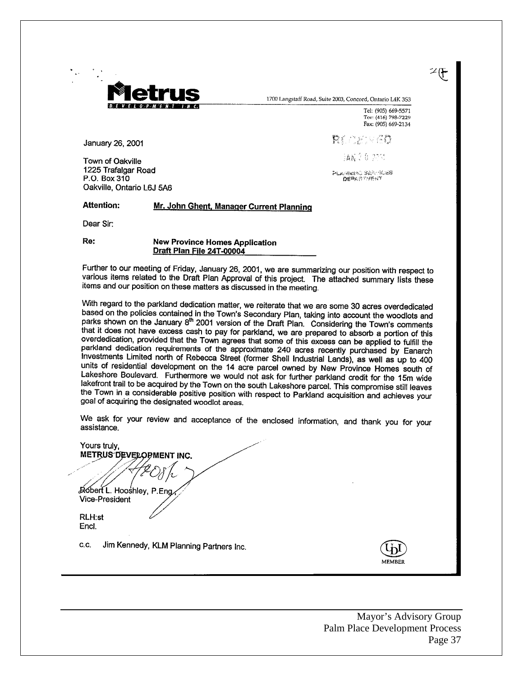

1700 Langstaff Road, Suite 2003, Concord, Ontario L4K 3S3

Tel: (905) 669-5571 Tor: (416) 798-7229 Fax: (905) 669-2134

ント

January 26, 2001

Town of Oakville 1225 Trafalgar Road P.O. Box 310 Oakville, Ontario L6J 5A6

**協調会自 2701** PLANNING SARTICES

in a men v 20

#### **Attention:** Mr. John Ghent, Manager Current Planning

Dear Sir:

Re:

**New Province Homes Application** Draft Plan File 24T-00004

Further to our meeting of Friday, January 26, 2001, we are summarizing our position with respect to various items related to the Draft Plan Approval of this project. The attached summary lists these items and our position on these matters as discussed in the meeting.

With regard to the parkland dedication matter, we reiterate that we are some 30 acres overdedicated based on the policies contained in the Town's Secondary Plan, taking into account the woodlots and<br>posted on the policies contained in the Town's Secondary Plan, taking into account the woodlots and parks shown on the January 8<sup>th</sup> 2001 version of the Draft Plan. Considering the Town's comments that it does not have excess cash to pay for parkland, we are prepared to absorb a portion of this overdedication, provided that the Town agrees that some of this excess can be applied to fulfill the parkland dedication requirements of the approximate 240 acres recently purchased by Eanarch Investments Limited north of Rebecca Street (former Shell Industrial Lands), as well as up to 400 units of residential development on the 14 acre parcel owned by New Province Homes south of Lakeshore Boulevard. Furthermore we would not ask for further parkland credit for the 15m wide lakefront trail to be acquired by the Town on the south Lakeshore parcel. This compromise still leaves the Town in a considerable particle with respect to Parkland acquisition and achieves your goal of acquiring the designated woodlot areas.

We ask for your review and acceptance of the enclosed information, and thank you for your assistance.

Yours truly, METRUS DEVELOPMENT INC. Robert L. Hooshley, P.Eng **Vice-President RLH:st** Encl. Jim Kennedy, KLM Planning Partners Inc. C.C.

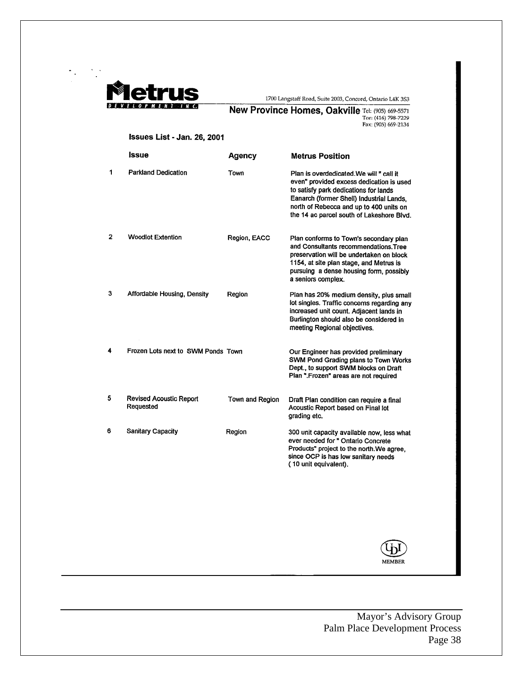

1700 Langstaff Road, Suite 2003, Concord, Ontario L4K 3S3

# **New Province Homes, Oakville** Tel: (905) 669-5571<br>Tor: (416) 798-7229<br>Fax: (905) 669-2134

#### Issues List - Jan. 26, 2001

|                | Issue                                       | Agency          | <b>Metrus Position</b>                                                                                                                                                                                                                                           |
|----------------|---------------------------------------------|-----------------|------------------------------------------------------------------------------------------------------------------------------------------------------------------------------------------------------------------------------------------------------------------|
| 1              | <b>Parkland Dedication</b>                  | Town            | Plan is overdedicated We will " call if<br>even" provided excess dedication is used<br>to satisfy park dedications for lands<br>Eanarch (former Shell) Industrial Lands,<br>north of Rebecca and up to 400 units on<br>the 14 ac parcel south of Lakeshore Blvd. |
| $\overline{2}$ | <b>Woodlot Extention</b>                    | Region, EACC    | Plan conforms to Town's secondary plan<br>and Consultants recommendations. Tree<br>preservation will be undertaken on block<br>1154, at site plan stage, and Metrus is<br>pursuing a dense housing form, possibly<br>a seniors complex.                          |
| 3              | Affordable Housing, Density                 | Region          | Plan has 20% medium density, plus small<br>lot singles. Traffic concerns regarding any<br>increased unit count. Adjacent lands in<br>Burlington should also be considered in<br>meeting Regional objectives.                                                     |
| 4              | Frozen Lots next to SWM Ponds Town          |                 | Our Engineer has provided preliminary<br>SWM Pond Grading plans to Town Works<br>Dept., to support SWM blocks on Draft<br>Plan ".Frozen" areas are not required                                                                                                  |
| 5              | <b>Revised Acoustic Report</b><br>Requested | Town and Region | Draft Plan condition can require a final<br>Acoustic Report based on Final lot<br>grading etc.                                                                                                                                                                   |
| 6              | Sanitary Capacity                           | Region          | 300 unit capacity available now, less what<br>ever needed for " Ontario Concrete<br>Products" project to the north. We agree,<br>since OCP is has low sanitary needs<br>(10 unit equivalent).                                                                    |

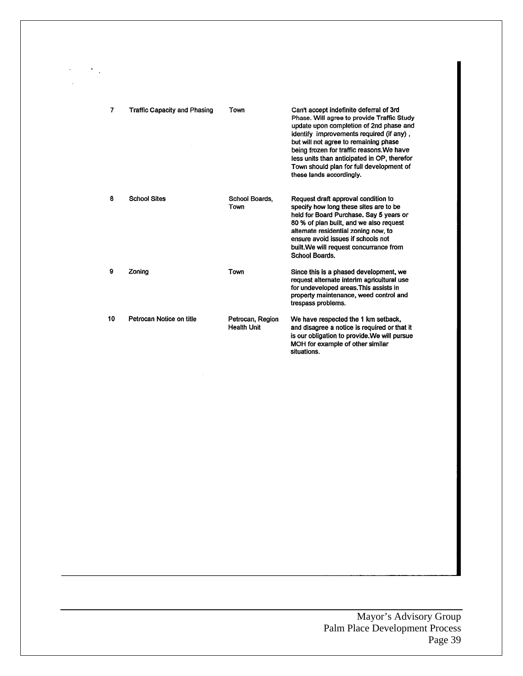| 7  | <b>Traffic Capacity and Phasing</b> | Town                                   | Can't accept indefinite deferral of 3rd<br>Phase. Will agree to provide Traffic Study<br>update upon completion of 2nd phase and<br>identify improvements required (if any),<br>but will not agree to remaining phase<br>being frozen for traffic reasons. We have<br>less units than anticipated in OP, therefor<br>Town should plan for full development of<br>these lands accordingly. |
|----|-------------------------------------|----------------------------------------|-------------------------------------------------------------------------------------------------------------------------------------------------------------------------------------------------------------------------------------------------------------------------------------------------------------------------------------------------------------------------------------------|
| 8  | <b>School Sites</b>                 | School Boards,<br>Town                 | Request draft approval condition to<br>specify how long these sites are to be<br>held for Board Purchase, Say 5 years or<br>80 % of plan built, and we also request<br>alternate residential zoning now, to<br>ensure avoid issues if schools not<br>built. We will request concurrance from<br>School Boards.                                                                            |
| 9  | Zoning                              | Town                                   | Since this is a phased development, we<br>request alternate interim agricultural use<br>for undeveloped areas. This assists in<br>property maintenance, weed control and<br>trespass problems.                                                                                                                                                                                            |
| 10 | Petrocan Notice on title            | Petrocan, Region<br><b>Health Unit</b> | We have respected the 1 km setback,<br>and disagree a notice is required or that it<br>is our obligation to provide. We will pursue<br>MOH for example of other similar<br>situations.                                                                                                                                                                                                    |

#### Mayor's Advisory Group Palm Place Development Process Page 39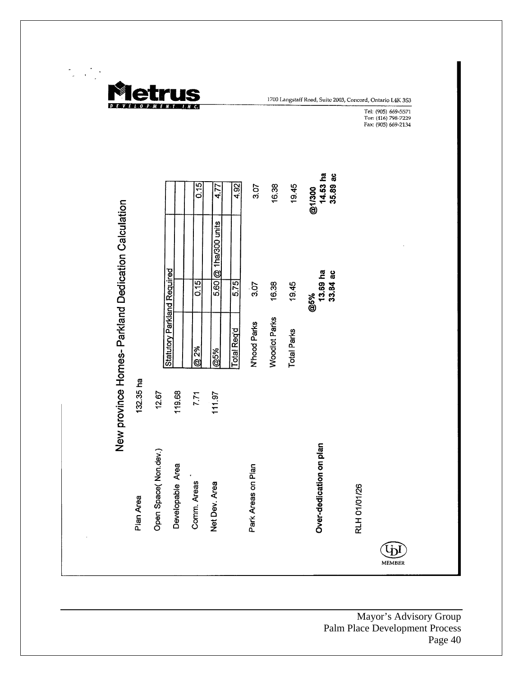

1700 Langstaff Road, Suite 2003, Concord, Ontario I.4K 3S3

Tel: (905) 669-5571<br>Tor: (416) 798-7229<br>Fax: (905) 669-2134

|                                                     |           |                      |                                    | 0.15        | 4.77                 | 4.92               | 3.07               | 16.38                | 19.45              | $14.53$ ha<br>35.89 ac<br>@1/300 |                     |               |  |
|-----------------------------------------------------|-----------|----------------------|------------------------------------|-------------|----------------------|--------------------|--------------------|----------------------|--------------------|----------------------------------|---------------------|---------------|--|
|                                                     |           |                      |                                    |             | 5.60 @ 1ha/300 units |                    |                    |                      |                    |                                  |                     |               |  |
|                                                     |           |                      |                                    | 0.15        |                      | 5.75               | 3.07               | 16.38                | 19.45              | $13.69$ ha<br>$33.84$ ac<br>@5%  |                     |               |  |
| New province Homes- Parkland Dedication Calculation |           |                      | <b>Statutory Parkland Required</b> | @ 2%        | @5%                  | <b>Total Req'd</b> | N'hood Parks       | <b>Woodlot Parks</b> | <b>Total Parks</b> |                                  |                     |               |  |
|                                                     | 132.35 ha | 12.67                | 119.68                             | 7.71        | 11197                |                    |                    |                      |                    |                                  |                     |               |  |
|                                                     | Plan Area | Open Space(Non.dev.) | Developable Area                   | Comm. Areas | Net Dev. Area        |                    | Park Areas on Plan |                      |                    | Over-dedication on plan          | <b>RLH 01/01/26</b> |               |  |
|                                                     |           |                      |                                    |             |                      |                    |                    |                      |                    |                                  |                     | <b>MEMBER</b> |  |